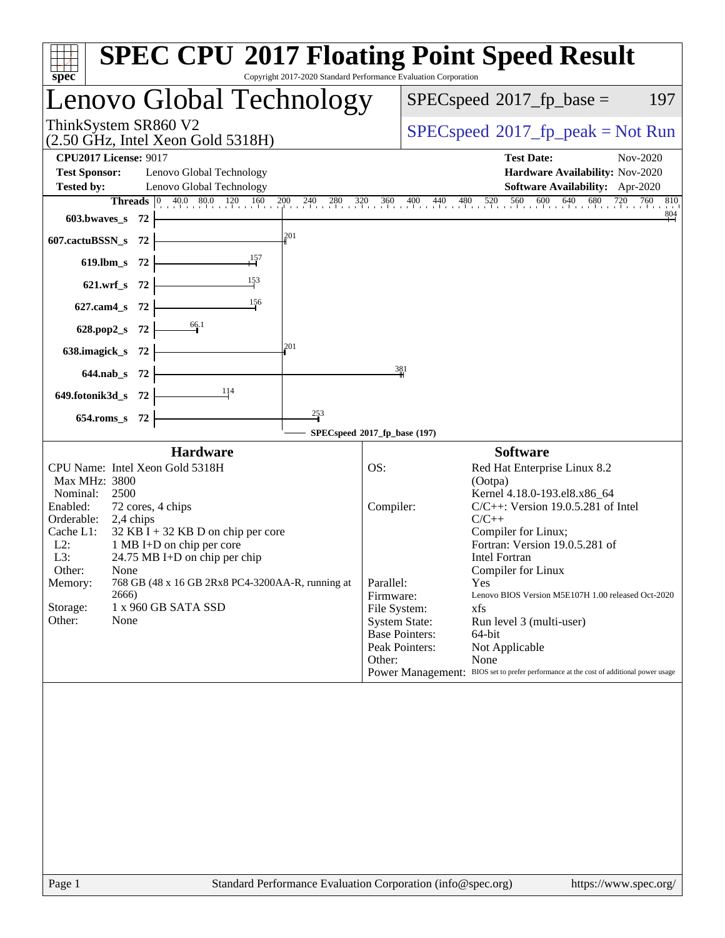| spec <sup>®</sup>                                                                                                                                                                                                                                                                                                                                                                                             | <b>SPEC CPU®2017 Floating Point Speed Result</b><br>Copyright 2017-2020 Standard Performance Evaluation Corporation                                                                                                                                                                                                                                                                                                                                                                                                                                                                                         |
|---------------------------------------------------------------------------------------------------------------------------------------------------------------------------------------------------------------------------------------------------------------------------------------------------------------------------------------------------------------------------------------------------------------|-------------------------------------------------------------------------------------------------------------------------------------------------------------------------------------------------------------------------------------------------------------------------------------------------------------------------------------------------------------------------------------------------------------------------------------------------------------------------------------------------------------------------------------------------------------------------------------------------------------|
| Lenovo Global Technology                                                                                                                                                                                                                                                                                                                                                                                      | $SPEC speed^{\circ}2017$ _fp_base =<br>197                                                                                                                                                                                                                                                                                                                                                                                                                                                                                                                                                                  |
| ThinkSystem SR860 V2<br>$(2.50 \text{ GHz}, \text{Intel Xeon Gold } 5318\text{H})$                                                                                                                                                                                                                                                                                                                            | $SPEC speed^{\circ}2017\_fp\_peak = Not Run$                                                                                                                                                                                                                                                                                                                                                                                                                                                                                                                                                                |
| <b>CPU2017 License: 9017</b><br><b>Test Sponsor:</b><br>Lenovo Global Technology<br><b>Tested by:</b><br>Lenovo Global Technology                                                                                                                                                                                                                                                                             | <b>Test Date:</b><br>Nov-2020<br>Hardware Availability: Nov-2020<br>Software Availability: Apr-2020                                                                                                                                                                                                                                                                                                                                                                                                                                                                                                         |
| <u> 1980 - Johann Barn, amerikan bestemannten (</u><br>603.bwaves_s $72$ $\vdash$                                                                                                                                                                                                                                                                                                                             | <b>Threads</b> $\begin{bmatrix} 0 & 40.0 & 80.0 & 120 & 160 & 200 & 240 & 280 & 320 & 360 & 400 & 440 & 480 & 520 & 560 & 600 & 640 & 680 & 720 & 760 & 810 \end{bmatrix}$<br>$\frac{804}{4}$                                                                                                                                                                                                                                                                                                                                                                                                               |
| 201<br>607.cactuBSSN_s $72$                                                                                                                                                                                                                                                                                                                                                                                   |                                                                                                                                                                                                                                                                                                                                                                                                                                                                                                                                                                                                             |
| 619.1bm_s 72 $\begin{array}{ c c }\n & 157 \\ \hline\n & -157\n\end{array}$                                                                                                                                                                                                                                                                                                                                   |                                                                                                                                                                                                                                                                                                                                                                                                                                                                                                                                                                                                             |
| 621.wrf_s 72 $\frac{153}{1}$                                                                                                                                                                                                                                                                                                                                                                                  |                                                                                                                                                                                                                                                                                                                                                                                                                                                                                                                                                                                                             |
| 627.cam4_s 72 $\frac{156}{10}$                                                                                                                                                                                                                                                                                                                                                                                |                                                                                                                                                                                                                                                                                                                                                                                                                                                                                                                                                                                                             |
| 628.pop2_s 72 $\frac{66.1}{1}$<br>201                                                                                                                                                                                                                                                                                                                                                                         |                                                                                                                                                                                                                                                                                                                                                                                                                                                                                                                                                                                                             |
| 638.imagick_s $72$ $\overline{\qquad}$                                                                                                                                                                                                                                                                                                                                                                        | 381                                                                                                                                                                                                                                                                                                                                                                                                                                                                                                                                                                                                         |
| $644.nab_s$ 72 $\overline{\qquad}$<br>649.fotonik3d_s $72$ $\frac{11}{4}$                                                                                                                                                                                                                                                                                                                                     |                                                                                                                                                                                                                                                                                                                                                                                                                                                                                                                                                                                                             |
| $\frac{253}{1}$<br>654.roms 8 72                                                                                                                                                                                                                                                                                                                                                                              |                                                                                                                                                                                                                                                                                                                                                                                                                                                                                                                                                                                                             |
|                                                                                                                                                                                                                                                                                                                                                                                                               | SPECspeed®2017_fp_base (197)                                                                                                                                                                                                                                                                                                                                                                                                                                                                                                                                                                                |
| <b>Hardware</b>                                                                                                                                                                                                                                                                                                                                                                                               | <b>Software</b>                                                                                                                                                                                                                                                                                                                                                                                                                                                                                                                                                                                             |
| CPU Name: Intel Xeon Gold 5318H<br>Max MHz: 3800<br>Nominal: 2500<br>Enabled:<br>72 cores, 4 chips<br>Orderable: 2,4 chips<br>Cache L1:<br>$32$ KB I + 32 KB D on chip per core<br>$L2$ :<br>1 MB I+D on chip per core<br>L3:<br>24.75 MB I+D on chip per chip<br>Other:<br>None<br>768 GB (48 x 16 GB 2Rx8 PC4-3200AA-R, running at<br>Memory:<br>2666)<br>Storage:<br>1 x 960 GB SATA SSD<br>Other:<br>None | OS:<br>Red Hat Enterprise Linux 8.2<br>(Ootpa)<br>Kernel 4.18.0-193.el8.x86_64<br>$C/C++$ : Version 19.0.5.281 of Intel<br>Compiler:<br>$C/C++$<br>Compiler for Linux;<br>Fortran: Version 19.0.5.281 of<br><b>Intel Fortran</b><br>Compiler for Linux<br>Parallel:<br>Yes<br>Lenovo BIOS Version M5E107H 1.00 released Oct-2020<br>Firmware:<br>File System:<br>xfs<br><b>System State:</b><br>Run level 3 (multi-user)<br><b>Base Pointers:</b><br>64-bit<br>Peak Pointers:<br>Not Applicable<br>Other:<br>None<br>Power Management: BIOS set to prefer performance at the cost of additional power usage |
|                                                                                                                                                                                                                                                                                                                                                                                                               |                                                                                                                                                                                                                                                                                                                                                                                                                                                                                                                                                                                                             |
|                                                                                                                                                                                                                                                                                                                                                                                                               |                                                                                                                                                                                                                                                                                                                                                                                                                                                                                                                                                                                                             |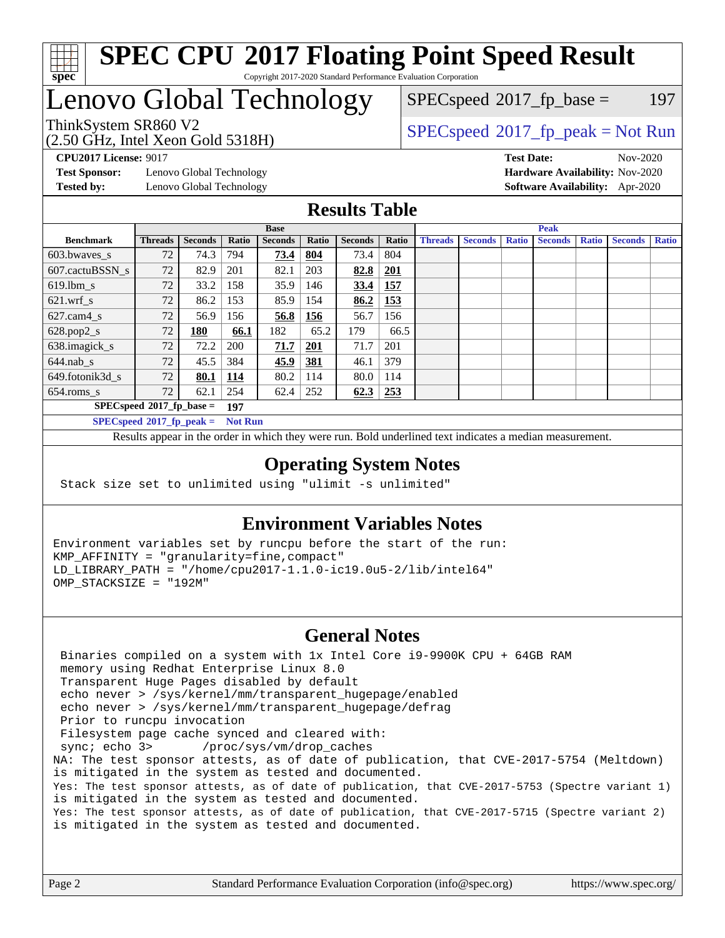

## Lenovo Global Technology

(2.50 GHz, Intel Xeon Gold 5318H)

 $SPECspeed^{\circledcirc}2017_fp\_base = 197$  $SPECspeed^{\circledcirc}2017_fp\_base = 197$ 

### ThinkSystem SR860 V2 [SPECspeed](http://www.spec.org/auto/cpu2017/Docs/result-fields.html#SPECspeed2017fppeak)[2017\\_fp\\_peak = N](http://www.spec.org/auto/cpu2017/Docs/result-fields.html#SPECspeed2017fppeak)ot Run

**[Test Sponsor:](http://www.spec.org/auto/cpu2017/Docs/result-fields.html#TestSponsor)** Lenovo Global Technology **[Hardware Availability:](http://www.spec.org/auto/cpu2017/Docs/result-fields.html#HardwareAvailability)** Nov-2020 **[Tested by:](http://www.spec.org/auto/cpu2017/Docs/result-fields.html#Testedby)** Lenovo Global Technology **[Software Availability:](http://www.spec.org/auto/cpu2017/Docs/result-fields.html#SoftwareAvailability)** Apr-2020

**[CPU2017 License:](http://www.spec.org/auto/cpu2017/Docs/result-fields.html#CPU2017License)** 9017 **[Test Date:](http://www.spec.org/auto/cpu2017/Docs/result-fields.html#TestDate)** Nov-2020

#### **[Results Table](http://www.spec.org/auto/cpu2017/Docs/result-fields.html#ResultsTable)**

|                  | <b>Base</b>                 |                |                |                | <b>Peak</b> |                |            |                |                |              |                |              |                |              |
|------------------|-----------------------------|----------------|----------------|----------------|-------------|----------------|------------|----------------|----------------|--------------|----------------|--------------|----------------|--------------|
| <b>Benchmark</b> | <b>Threads</b>              | <b>Seconds</b> | Ratio          | <b>Seconds</b> | Ratio       | <b>Seconds</b> | Ratio      | <b>Threads</b> | <b>Seconds</b> | <b>Ratio</b> | <b>Seconds</b> | <b>Ratio</b> | <b>Seconds</b> | <b>Ratio</b> |
| $603.bwaves$ s   | 72                          | 74.3           | 794            | 73.4           | 804         | 73.4           | 804        |                |                |              |                |              |                |              |
| 607.cactuBSSN s  | 72                          | 82.9           | 201            | 82.1           | 203         | 82.8           | <b>201</b> |                |                |              |                |              |                |              |
| $619.1$ bm s     | 72                          | 33.2           | 158            | 35.9           | 146         | 33.4           | 157        |                |                |              |                |              |                |              |
| $621.wrf$ s      | 72                          | 86.2           | 153            | 85.9           | 154         | 86.2           | 153        |                |                |              |                |              |                |              |
| $627.cam4_s$     | 72                          | 56.9           | 156            | 56.8           | 156         | 56.7           | 156        |                |                |              |                |              |                |              |
| $628.pop2_s$     | 72                          | 180            | 66.1           | 182            | 65.2        | 179            | 66.5       |                |                |              |                |              |                |              |
| 638.imagick_s    | 72                          | 72.2           | 200            | 71.7           | 201         | 71.7           | 201        |                |                |              |                |              |                |              |
| $644$ .nab s     | 72                          | 45.5           | 384            | 45.9           | <u>381</u>  | 46.1           | 379        |                |                |              |                |              |                |              |
| 649.fotonik3d s  | 72                          | 80.1           | <u>114</u>     | 80.2           | 114         | 80.0           | 114        |                |                |              |                |              |                |              |
| $654$ .roms s    | 72                          | 62.1           | 254            | 62.4           | 252         | 62.3           | 253        |                |                |              |                |              |                |              |
|                  | $SPECspeed*2017fp base =$   |                | 197            |                |             |                |            |                |                |              |                |              |                |              |
|                  | $SPECspeed*2017_fp\_peak =$ |                | <b>Not Run</b> |                |             |                |            |                |                |              |                |              |                |              |

Results appear in the [order in which they were run.](http://www.spec.org/auto/cpu2017/Docs/result-fields.html#RunOrder) Bold underlined text [indicates a median measurement](http://www.spec.org/auto/cpu2017/Docs/result-fields.html#Median).

#### **[Operating System Notes](http://www.spec.org/auto/cpu2017/Docs/result-fields.html#OperatingSystemNotes)**

Stack size set to unlimited using "ulimit -s unlimited"

#### **[Environment Variables Notes](http://www.spec.org/auto/cpu2017/Docs/result-fields.html#EnvironmentVariablesNotes)**

Environment variables set by runcpu before the start of the run: KMP\_AFFINITY = "granularity=fine,compact" LD\_LIBRARY\_PATH = "/home/cpu2017-1.1.0-ic19.0u5-2/lib/intel64" OMP\_STACKSIZE = "192M"

#### **[General Notes](http://www.spec.org/auto/cpu2017/Docs/result-fields.html#GeneralNotes)**

 Binaries compiled on a system with 1x Intel Core i9-9900K CPU + 64GB RAM memory using Redhat Enterprise Linux 8.0 Transparent Huge Pages disabled by default echo never > /sys/kernel/mm/transparent\_hugepage/enabled echo never > /sys/kernel/mm/transparent\_hugepage/defrag Prior to runcpu invocation Filesystem page cache synced and cleared with: sync; echo 3> /proc/sys/vm/drop\_caches NA: The test sponsor attests, as of date of publication, that CVE-2017-5754 (Meltdown) is mitigated in the system as tested and documented. Yes: The test sponsor attests, as of date of publication, that CVE-2017-5753 (Spectre variant 1) is mitigated in the system as tested and documented. Yes: The test sponsor attests, as of date of publication, that CVE-2017-5715 (Spectre variant 2) is mitigated in the system as tested and documented.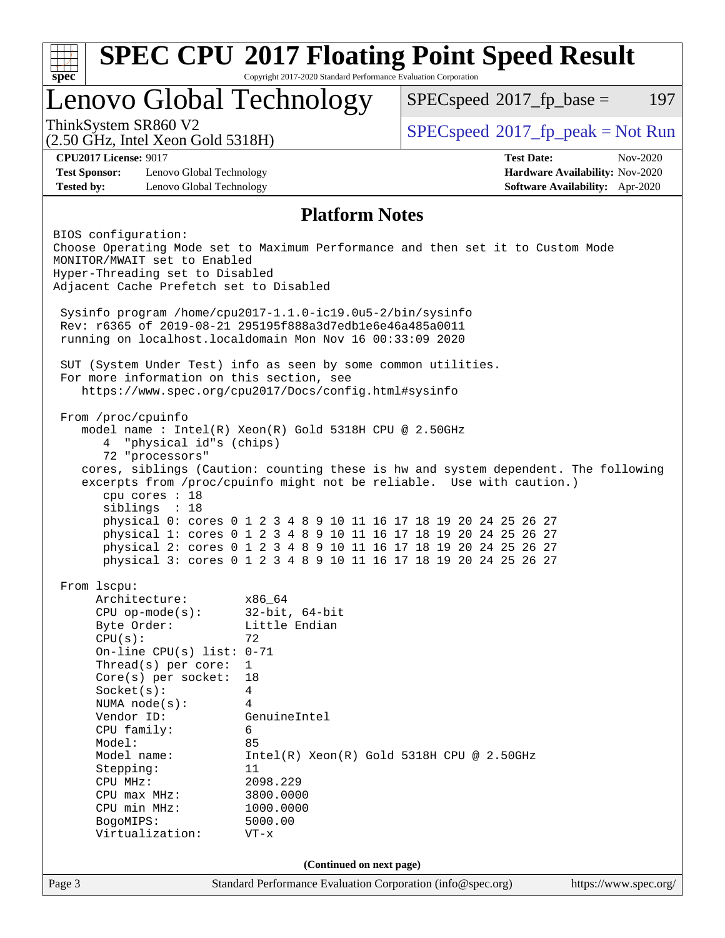| spec <sup>®</sup>                                                                                                                                                                                                                                                                                                                                | Copyright 2017-2020 Standard Performance Evaluation Corporation                                                                                                                     | <b>SPEC CPU®2017 Floating Point Speed Result</b>                                                                                                                                                                                                                                                                                                                                                                                            |                       |
|--------------------------------------------------------------------------------------------------------------------------------------------------------------------------------------------------------------------------------------------------------------------------------------------------------------------------------------------------|-------------------------------------------------------------------------------------------------------------------------------------------------------------------------------------|---------------------------------------------------------------------------------------------------------------------------------------------------------------------------------------------------------------------------------------------------------------------------------------------------------------------------------------------------------------------------------------------------------------------------------------------|-----------------------|
| Lenovo Global Technology                                                                                                                                                                                                                                                                                                                         |                                                                                                                                                                                     | $SPEC speed^{\circ}2017\_fp\_base =$                                                                                                                                                                                                                                                                                                                                                                                                        | 197                   |
| ThinkSystem SR860 V2<br>$(2.50 \text{ GHz}, \text{Intel Xeon Gold } 5318\text{H})$                                                                                                                                                                                                                                                               |                                                                                                                                                                                     | $SPEC speed^{\circ}2017\_fp\_peak = Not Run$                                                                                                                                                                                                                                                                                                                                                                                                |                       |
| <b>CPU2017 License: 9017</b><br><b>Test Sponsor:</b><br>Lenovo Global Technology<br><b>Tested by:</b><br>Lenovo Global Technology                                                                                                                                                                                                                |                                                                                                                                                                                     | <b>Test Date:</b><br>Hardware Availability: Nov-2020<br>Software Availability: Apr-2020                                                                                                                                                                                                                                                                                                                                                     | Nov-2020              |
|                                                                                                                                                                                                                                                                                                                                                  | <b>Platform Notes</b>                                                                                                                                                               |                                                                                                                                                                                                                                                                                                                                                                                                                                             |                       |
| BIOS configuration:<br>MONITOR/MWAIT set to Enabled<br>Hyper-Threading set to Disabled<br>Adjacent Cache Prefetch set to Disabled<br>Sysinfo program /home/cpu2017-1.1.0-ic19.0u5-2/bin/sysinfo<br>Rev: r6365 of 2019-08-21 295195f888a3d7edble6e46a485a0011                                                                                     |                                                                                                                                                                                     | Choose Operating Mode set to Maximum Performance and then set it to Custom Mode                                                                                                                                                                                                                                                                                                                                                             |                       |
| running on localhost.localdomain Mon Nov 16 00:33:09 2020<br>SUT (System Under Test) info as seen by some common utilities.<br>For more information on this section, see<br>https://www.spec.org/cpu2017/Docs/config.html#sysinfo                                                                                                                |                                                                                                                                                                                     |                                                                                                                                                                                                                                                                                                                                                                                                                                             |                       |
| From /proc/cpuinfo<br>model name: $Intel(R)$ Xeon(R) Gold 5318H CPU @ 2.50GHz<br>"physical id"s (chips)<br>4<br>72 "processors"<br>cpu cores : 18<br>siblings : 18                                                                                                                                                                               |                                                                                                                                                                                     | cores, siblings (Caution: counting these is hw and system dependent. The following<br>excerpts from /proc/cpuinfo might not be reliable. Use with caution.)<br>physical 0: cores 0 1 2 3 4 8 9 10 11 16 17 18 19 20 24 25 26 27<br>physical 1: cores 0 1 2 3 4 8 9 10 11 16 17 18 19 20 24 25 26 27<br>physical 2: cores 0 1 2 3 4 8 9 10 11 16 17 18 19 20 24 25 26 27<br>physical 3: cores 0 1 2 3 4 8 9 10 11 16 17 18 19 20 24 25 26 27 |                       |
| From 1scpu:<br>Architecture:<br>$CPU$ op-mode( $s$ ):<br>Byte Order:<br>CPU(s):<br>On-line CPU(s) list: $0-71$<br>$Thread(s)$ per core:<br>$Core(s)$ per socket:<br>Socket(s):<br>NUMA $node(s):$<br>Vendor ID:<br>CPU family:<br>Model:<br>Model name:<br>Stepping:<br>CPU MHz:<br>CPU max MHz:<br>CPU min MHz:<br>BogoMIPS:<br>Virtualization: | x86_64<br>$32$ -bit, $64$ -bit<br>Little Endian<br>72<br>$\mathbf{1}$<br>18<br>4<br>4<br>GenuineIntel<br>6<br>85<br>11<br>2098.229<br>3800.0000<br>1000.0000<br>5000.00<br>$VT - x$ | $Intel(R) Xeon(R) Gold 5318H CPU @ 2.50GHz$                                                                                                                                                                                                                                                                                                                                                                                                 |                       |
|                                                                                                                                                                                                                                                                                                                                                  | (Continued on next page)                                                                                                                                                            |                                                                                                                                                                                                                                                                                                                                                                                                                                             |                       |
| Page 3                                                                                                                                                                                                                                                                                                                                           |                                                                                                                                                                                     | Standard Performance Evaluation Corporation (info@spec.org)                                                                                                                                                                                                                                                                                                                                                                                 | https://www.spec.org/ |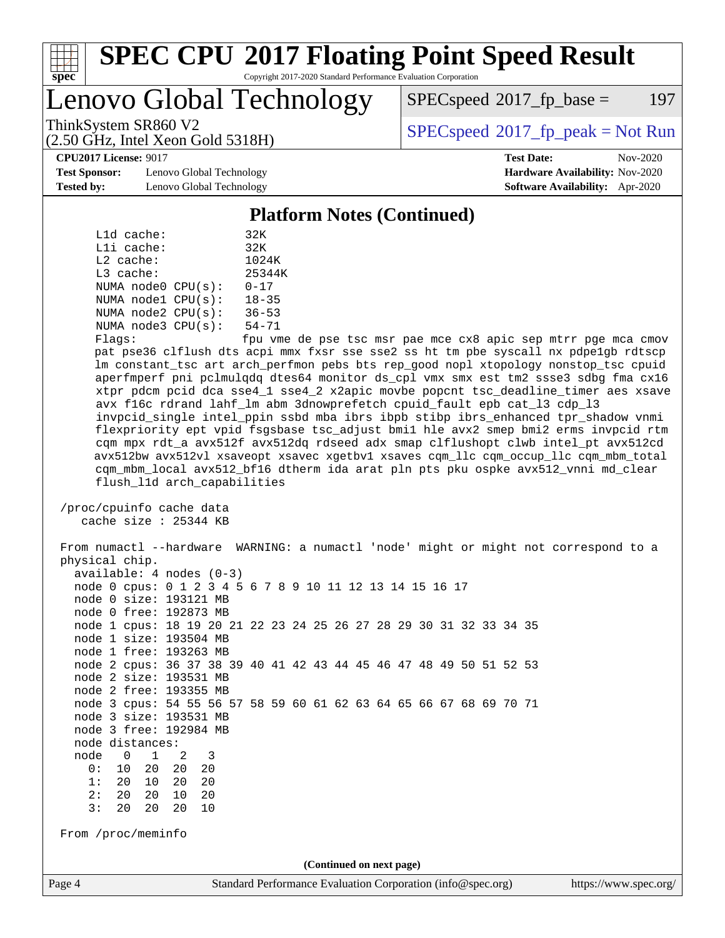

Lenovo Global Technology

 $SPEC speed^{\circ}2017\_fp\_base = 197$ 

(2.50 GHz, Intel Xeon Gold 5318H)

ThinkSystem SR860 V2<br>  $\begin{array}{c}\n\text{SPEC speed} \text{?}2017\_fp\_peak = Not Run \\
\text{SPEC speed} \text{?}2017\_fp\_peak = Not Run\n\end{array}$ 

**[CPU2017 License:](http://www.spec.org/auto/cpu2017/Docs/result-fields.html#CPU2017License)** 9017 **[Test Date:](http://www.spec.org/auto/cpu2017/Docs/result-fields.html#TestDate)** Nov-2020

**[Test Sponsor:](http://www.spec.org/auto/cpu2017/Docs/result-fields.html#TestSponsor)** Lenovo Global Technology **[Hardware Availability:](http://www.spec.org/auto/cpu2017/Docs/result-fields.html#HardwareAvailability)** Nov-2020 **[Tested by:](http://www.spec.org/auto/cpu2017/Docs/result-fields.html#Testedby)** Lenovo Global Technology **[Software Availability:](http://www.spec.org/auto/cpu2017/Docs/result-fields.html#SoftwareAvailability)** Apr-2020

#### **[Platform Notes \(Continued\)](http://www.spec.org/auto/cpu2017/Docs/result-fields.html#PlatformNotes)**

|             | L1d cache: |                         | 32K       |
|-------------|------------|-------------------------|-----------|
|             | Lli cache: |                         | 32K       |
| $L2$ cache: |            |                         | 1024K     |
| L3 cache:   |            |                         | 25344K    |
|             |            | NUMA $node0$ $CPU(s)$ : | $0 - 17$  |
|             |            | NUMA nodel CPU(s):      | $18 - 35$ |
|             |            | NUMA $node2$ $CPU(s)$ : | $36 - 53$ |
|             |            | NUMA $node3$ $CPU(s)$ : | $54 - 71$ |
| --          |            |                         | $\sim$    |

 Flags: fpu vme de pse tsc msr pae mce cx8 apic sep mtrr pge mca cmov pat pse36 clflush dts acpi mmx fxsr sse sse2 ss ht tm pbe syscall nx pdpe1gb rdtscp lm constant\_tsc art arch\_perfmon pebs bts rep\_good nopl xtopology nonstop\_tsc cpuid aperfmperf pni pclmulqdq dtes64 monitor ds\_cpl vmx smx est tm2 ssse3 sdbg fma cx16 xtpr pdcm pcid dca sse4\_1 sse4\_2 x2apic movbe popcnt tsc\_deadline\_timer aes xsave avx f16c rdrand lahf\_lm abm 3dnowprefetch cpuid\_fault epb cat\_l3 cdp\_l3 invpcid\_single intel\_ppin ssbd mba ibrs ibpb stibp ibrs\_enhanced tpr\_shadow vnmi flexpriority ept vpid fsgsbase tsc\_adjust bmi1 hle avx2 smep bmi2 erms invpcid rtm cqm mpx rdt\_a avx512f avx512dq rdseed adx smap clflushopt clwb intel\_pt avx512cd avx512bw avx512vl xsaveopt xsavec xgetbv1 xsaves cqm\_llc cqm\_occup\_llc cqm\_mbm\_total cqm\_mbm\_local avx512\_bf16 dtherm ida arat pln pts pku ospke avx512\_vnni md\_clear flush\_l1d arch\_capabilities

 /proc/cpuinfo cache data cache size : 25344 KB

Page 4 Standard Performance Evaluation Corporation [\(info@spec.org\)](mailto:info@spec.org) <https://www.spec.org/> From numactl --hardware WARNING: a numactl 'node' might or might not correspond to a physical chip. available: 4 nodes (0-3) node 0 cpus: 0 1 2 3 4 5 6 7 8 9 10 11 12 13 14 15 16 17 node 0 size: 193121 MB node 0 free: 192873 MB node 1 cpus: 18 19 20 21 22 23 24 25 26 27 28 29 30 31 32 33 34 35 node 1 size: 193504 MB node 1 free: 193263 MB node 2 cpus: 36 37 38 39 40 41 42 43 44 45 46 47 48 49 50 51 52 53 node 2 size: 193531 MB node 2 free: 193355 MB node 3 cpus: 54 55 56 57 58 59 60 61 62 63 64 65 66 67 68 69 70 71 node 3 size: 193531 MB node 3 free: 192984 MB node distances: node 0 1 2 3 0: 10 20 20 20 1: 20 10 20 20 2: 20 20 10 20 3: 20 20 20 10 From /proc/meminfo **(Continued on next page)**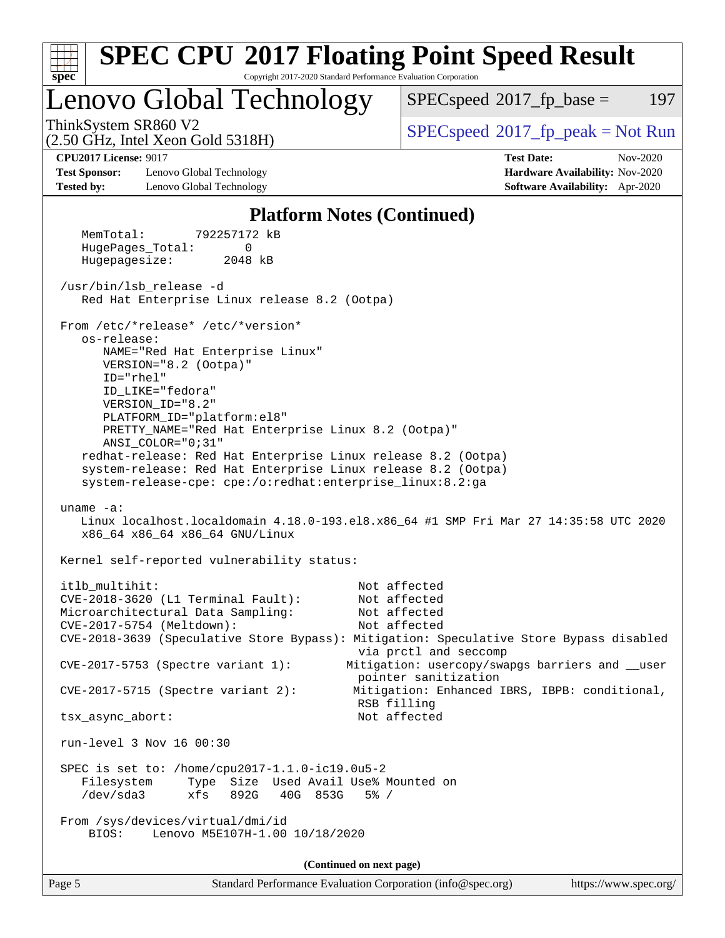

Page 5 Standard Performance Evaluation Corporation [\(info@spec.org\)](mailto:info@spec.org) <https://www.spec.org/>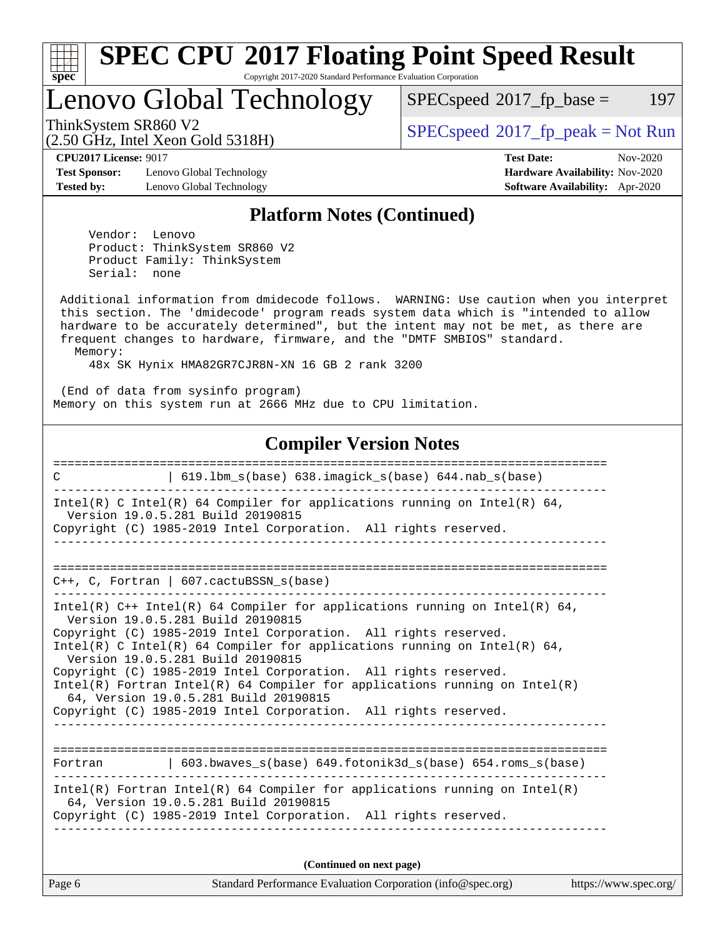

Lenovo Global Technology

 $SPECspeed^{\circledcirc}2017_fp\_base = 197$  $SPECspeed^{\circledcirc}2017_fp\_base = 197$ 

(2.50 GHz, Intel Xeon Gold 5318H)

ThinkSystem SR860 V2<br>  $\begin{array}{c}\n\text{SPEC speed} \text{?}2017\_fp\_peak = Not Run \\
\text{SPEC speed} \text{?}2017\_fp\_peak = Not Run\n\end{array}$ 

**[Test Sponsor:](http://www.spec.org/auto/cpu2017/Docs/result-fields.html#TestSponsor)** Lenovo Global Technology **[Hardware Availability:](http://www.spec.org/auto/cpu2017/Docs/result-fields.html#HardwareAvailability)** Nov-2020 **[Tested by:](http://www.spec.org/auto/cpu2017/Docs/result-fields.html#Testedby)** Lenovo Global Technology **[Software Availability:](http://www.spec.org/auto/cpu2017/Docs/result-fields.html#SoftwareAvailability)** Apr-2020

**[CPU2017 License:](http://www.spec.org/auto/cpu2017/Docs/result-fields.html#CPU2017License)** 9017 **[Test Date:](http://www.spec.org/auto/cpu2017/Docs/result-fields.html#TestDate)** Nov-2020

#### **[Platform Notes \(Continued\)](http://www.spec.org/auto/cpu2017/Docs/result-fields.html#PlatformNotes)**

 Vendor: Lenovo Product: ThinkSystem SR860 V2 Product Family: ThinkSystem Serial: none

 Additional information from dmidecode follows. WARNING: Use caution when you interpret this section. The 'dmidecode' program reads system data which is "intended to allow hardware to be accurately determined", but the intent may not be met, as there are frequent changes to hardware, firmware, and the "DMTF SMBIOS" standard. Memory:

48x SK Hynix HMA82GR7CJR8N-XN 16 GB 2 rank 3200

 (End of data from sysinfo program) Memory on this system run at 2666 MHz due to CPU limitation.

#### **[Compiler Version Notes](http://www.spec.org/auto/cpu2017/Docs/result-fields.html#CompilerVersionNotes)**

| 619.1bm_s(base) 638.imagick_s(base) 644.nab_s(base)<br>$\mathcal{C}$                                                                                                                                                                                                                                                                                                                                                                                                                                                                                                 |
|----------------------------------------------------------------------------------------------------------------------------------------------------------------------------------------------------------------------------------------------------------------------------------------------------------------------------------------------------------------------------------------------------------------------------------------------------------------------------------------------------------------------------------------------------------------------|
| Intel(R) C Intel(R) 64 Compiler for applications running on Intel(R) 64,<br>Version 19.0.5.281 Build 20190815<br>Copyright (C) 1985-2019 Intel Corporation. All rights reserved.                                                                                                                                                                                                                                                                                                                                                                                     |
| $C_{++}$ , C, Fortran   607.cactuBSSN_s(base)                                                                                                                                                                                                                                                                                                                                                                                                                                                                                                                        |
| Intel(R) $C++$ Intel(R) 64 Compiler for applications running on Intel(R) 64,<br>Version 19.0.5.281 Build 20190815<br>Copyright (C) 1985-2019 Intel Corporation. All rights reserved.<br>Intel(R) C Intel(R) 64 Compiler for applications running on Intel(R) 64,<br>Version 19.0.5.281 Build 20190815<br>Copyright (C) 1985-2019 Intel Corporation. All rights reserved.<br>Intel(R) Fortran Intel(R) 64 Compiler for applications running on $Intel(R)$<br>64, Version 19.0.5.281 Build 20190815<br>Copyright (C) 1985-2019 Intel Corporation. All rights reserved. |
| Fortran (603.bwaves s(base) 649.fotonik3d s(base) 654.roms s(base)                                                                                                                                                                                                                                                                                                                                                                                                                                                                                                   |
| $Intel(R)$ Fortran Intel(R) 64 Compiler for applications running on Intel(R)<br>64, Version 19.0.5.281 Build 20190815<br>Copyright (C) 1985-2019 Intel Corporation. All rights reserved.                                                                                                                                                                                                                                                                                                                                                                             |
| (Continued on next page)                                                                                                                                                                                                                                                                                                                                                                                                                                                                                                                                             |

Page 6 Standard Performance Evaluation Corporation [\(info@spec.org\)](mailto:info@spec.org) <https://www.spec.org/>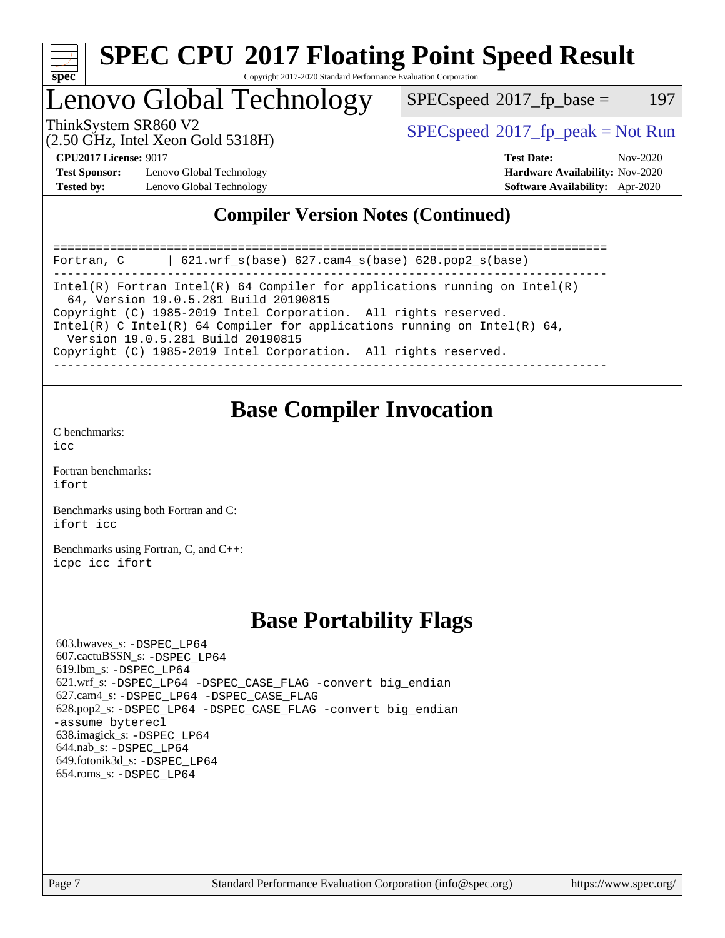

# **[SPEC CPU](http://www.spec.org/auto/cpu2017/Docs/result-fields.html#SPECCPU2017FloatingPointSpeedResult)[2017 Floating Point Speed Result](http://www.spec.org/auto/cpu2017/Docs/result-fields.html#SPECCPU2017FloatingPointSpeedResult)**

Copyright 2017-2020 Standard Performance Evaluation Corporation

### Lenovo Global Technology

 $SPEC speed^{\circ}2017\_fp\_base = 197$ 

(2.50 GHz, Intel Xeon Gold 5318H)

ThinkSystem SR860 V2<br>  $\begin{array}{c}\n\text{SPEC speed} \text{?}2017 \text{ fp\_peak} = \text{Not Run} \\
\text{SPEC speed} \text{?}2017 \text{ fp\_peak} = \text{Not Run} \\
\end{array}$ 

**[Test Sponsor:](http://www.spec.org/auto/cpu2017/Docs/result-fields.html#TestSponsor)** Lenovo Global Technology **[Hardware Availability:](http://www.spec.org/auto/cpu2017/Docs/result-fields.html#HardwareAvailability)** Nov-2020 **[Tested by:](http://www.spec.org/auto/cpu2017/Docs/result-fields.html#Testedby)** Lenovo Global Technology **[Software Availability:](http://www.spec.org/auto/cpu2017/Docs/result-fields.html#SoftwareAvailability)** Apr-2020

**[CPU2017 License:](http://www.spec.org/auto/cpu2017/Docs/result-fields.html#CPU2017License)** 9017 **[Test Date:](http://www.spec.org/auto/cpu2017/Docs/result-fields.html#TestDate)** Nov-2020

#### **[Compiler Version Notes \(Continued\)](http://www.spec.org/auto/cpu2017/Docs/result-fields.html#CompilerVersionNotes)**

============================================================================== Fortran, C | 621.wrf\_s(base) 627.cam4\_s(base) 628.pop2\_s(base) ------------------------------------------------------------------------------ Intel(R) Fortran Intel(R) 64 Compiler for applications running on Intel(R) 64, Version 19.0.5.281 Build 20190815 Copyright (C) 1985-2019 Intel Corporation. All rights reserved. Intel(R) C Intel(R) 64 Compiler for applications running on Intel(R)  $64$ , Version 19.0.5.281 Build 20190815 Copyright (C) 1985-2019 Intel Corporation. All rights reserved. ------------------------------------------------------------------------------

### **[Base Compiler Invocation](http://www.spec.org/auto/cpu2017/Docs/result-fields.html#BaseCompilerInvocation)**

[C benchmarks](http://www.spec.org/auto/cpu2017/Docs/result-fields.html#Cbenchmarks):  $i$ cc

[Fortran benchmarks](http://www.spec.org/auto/cpu2017/Docs/result-fields.html#Fortranbenchmarks): [ifort](http://www.spec.org/cpu2017/results/res2020q4/cpu2017-20201123-24461.flags.html#user_FCbase_intel_ifort_8111460550e3ca792625aed983ce982f94888b8b503583aa7ba2b8303487b4d8a21a13e7191a45c5fd58ff318f48f9492884d4413fa793fd88dd292cad7027ca)

[Benchmarks using both Fortran and C](http://www.spec.org/auto/cpu2017/Docs/result-fields.html#BenchmarksusingbothFortranandC): [ifort](http://www.spec.org/cpu2017/results/res2020q4/cpu2017-20201123-24461.flags.html#user_CC_FCbase_intel_ifort_8111460550e3ca792625aed983ce982f94888b8b503583aa7ba2b8303487b4d8a21a13e7191a45c5fd58ff318f48f9492884d4413fa793fd88dd292cad7027ca) [icc](http://www.spec.org/cpu2017/results/res2020q4/cpu2017-20201123-24461.flags.html#user_CC_FCbase_intel_icc_66fc1ee009f7361af1fbd72ca7dcefbb700085f36577c54f309893dd4ec40d12360134090235512931783d35fd58c0460139e722d5067c5574d8eaf2b3e37e92)

[Benchmarks using Fortran, C, and C++:](http://www.spec.org/auto/cpu2017/Docs/result-fields.html#BenchmarksusingFortranCandCXX) [icpc](http://www.spec.org/cpu2017/results/res2020q4/cpu2017-20201123-24461.flags.html#user_CC_CXX_FCbase_intel_icpc_c510b6838c7f56d33e37e94d029a35b4a7bccf4766a728ee175e80a419847e808290a9b78be685c44ab727ea267ec2f070ec5dc83b407c0218cded6866a35d07) [icc](http://www.spec.org/cpu2017/results/res2020q4/cpu2017-20201123-24461.flags.html#user_CC_CXX_FCbase_intel_icc_66fc1ee009f7361af1fbd72ca7dcefbb700085f36577c54f309893dd4ec40d12360134090235512931783d35fd58c0460139e722d5067c5574d8eaf2b3e37e92) [ifort](http://www.spec.org/cpu2017/results/res2020q4/cpu2017-20201123-24461.flags.html#user_CC_CXX_FCbase_intel_ifort_8111460550e3ca792625aed983ce982f94888b8b503583aa7ba2b8303487b4d8a21a13e7191a45c5fd58ff318f48f9492884d4413fa793fd88dd292cad7027ca)

### **[Base Portability Flags](http://www.spec.org/auto/cpu2017/Docs/result-fields.html#BasePortabilityFlags)**

 603.bwaves\_s: [-DSPEC\\_LP64](http://www.spec.org/cpu2017/results/res2020q4/cpu2017-20201123-24461.flags.html#suite_basePORTABILITY603_bwaves_s_DSPEC_LP64) 607.cactuBSSN\_s: [-DSPEC\\_LP64](http://www.spec.org/cpu2017/results/res2020q4/cpu2017-20201123-24461.flags.html#suite_basePORTABILITY607_cactuBSSN_s_DSPEC_LP64) 619.lbm\_s: [-DSPEC\\_LP64](http://www.spec.org/cpu2017/results/res2020q4/cpu2017-20201123-24461.flags.html#suite_basePORTABILITY619_lbm_s_DSPEC_LP64) 621.wrf\_s: [-DSPEC\\_LP64](http://www.spec.org/cpu2017/results/res2020q4/cpu2017-20201123-24461.flags.html#suite_basePORTABILITY621_wrf_s_DSPEC_LP64) [-DSPEC\\_CASE\\_FLAG](http://www.spec.org/cpu2017/results/res2020q4/cpu2017-20201123-24461.flags.html#b621.wrf_s_baseCPORTABILITY_DSPEC_CASE_FLAG) [-convert big\\_endian](http://www.spec.org/cpu2017/results/res2020q4/cpu2017-20201123-24461.flags.html#user_baseFPORTABILITY621_wrf_s_convert_big_endian_c3194028bc08c63ac5d04de18c48ce6d347e4e562e8892b8bdbdc0214820426deb8554edfa529a3fb25a586e65a3d812c835984020483e7e73212c4d31a38223) 627.cam4\_s: [-DSPEC\\_LP64](http://www.spec.org/cpu2017/results/res2020q4/cpu2017-20201123-24461.flags.html#suite_basePORTABILITY627_cam4_s_DSPEC_LP64) [-DSPEC\\_CASE\\_FLAG](http://www.spec.org/cpu2017/results/res2020q4/cpu2017-20201123-24461.flags.html#b627.cam4_s_baseCPORTABILITY_DSPEC_CASE_FLAG) 628.pop2\_s: [-DSPEC\\_LP64](http://www.spec.org/cpu2017/results/res2020q4/cpu2017-20201123-24461.flags.html#suite_basePORTABILITY628_pop2_s_DSPEC_LP64) [-DSPEC\\_CASE\\_FLAG](http://www.spec.org/cpu2017/results/res2020q4/cpu2017-20201123-24461.flags.html#b628.pop2_s_baseCPORTABILITY_DSPEC_CASE_FLAG) [-convert big\\_endian](http://www.spec.org/cpu2017/results/res2020q4/cpu2017-20201123-24461.flags.html#user_baseFPORTABILITY628_pop2_s_convert_big_endian_c3194028bc08c63ac5d04de18c48ce6d347e4e562e8892b8bdbdc0214820426deb8554edfa529a3fb25a586e65a3d812c835984020483e7e73212c4d31a38223) [-assume byterecl](http://www.spec.org/cpu2017/results/res2020q4/cpu2017-20201123-24461.flags.html#user_baseFPORTABILITY628_pop2_s_assume_byterecl_7e47d18b9513cf18525430bbf0f2177aa9bf368bc7a059c09b2c06a34b53bd3447c950d3f8d6c70e3faf3a05c8557d66a5798b567902e8849adc142926523472) 638.imagick\_s: [-DSPEC\\_LP64](http://www.spec.org/cpu2017/results/res2020q4/cpu2017-20201123-24461.flags.html#suite_basePORTABILITY638_imagick_s_DSPEC_LP64) 644.nab\_s: [-DSPEC\\_LP64](http://www.spec.org/cpu2017/results/res2020q4/cpu2017-20201123-24461.flags.html#suite_basePORTABILITY644_nab_s_DSPEC_LP64) 649.fotonik3d\_s: [-DSPEC\\_LP64](http://www.spec.org/cpu2017/results/res2020q4/cpu2017-20201123-24461.flags.html#suite_basePORTABILITY649_fotonik3d_s_DSPEC_LP64) 654.roms\_s: [-DSPEC\\_LP64](http://www.spec.org/cpu2017/results/res2020q4/cpu2017-20201123-24461.flags.html#suite_basePORTABILITY654_roms_s_DSPEC_LP64)